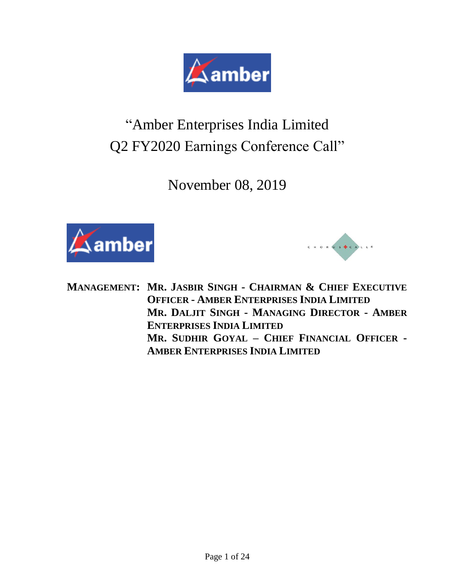

# "Amber Enterprises India Limited Q2 FY2020 Earnings Conference Call"

November 08, 2019





**MANAGEMENT: MR. JASBIR SINGH - CHAIRMAN & CHIEF EXECUTIVE OFFICER - AMBER ENTERPRISES INDIA LIMITED MR. DALJIT SINGH - MANAGING DIRECTOR - AMBER ENTERPRISES INDIA LIMITED MR. SUDHIR GOYAL – CHIEF FINANCIAL OFFICER - AMBER ENTERPRISES INDIA LIMITED**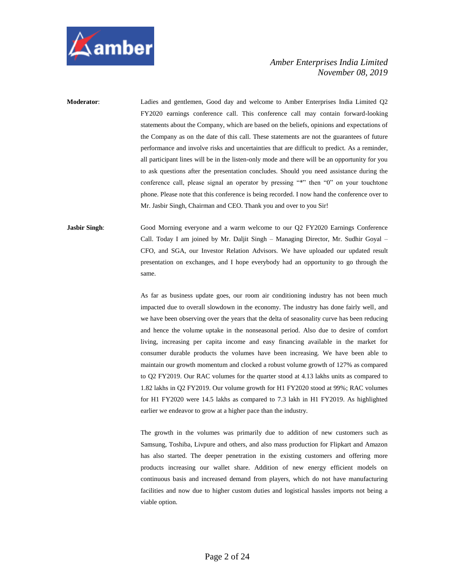

**Moderator**: Ladies and gentlemen, Good day and welcome to Amber Enterprises India Limited Q2 FY2020 earnings conference call. This conference call may contain forward-looking statements about the Company, which are based on the beliefs, opinions and expectations of the Company as on the date of this call. These statements are not the guarantees of future performance and involve risks and uncertainties that are difficult to predict. As a reminder, all participant lines will be in the listen-only mode and there will be an opportunity for you to ask questions after the presentation concludes. Should you need assistance during the conference call, please signal an operator by pressing "\*" then "0" on your touchtone phone. Please note that this conference is being recorded. I now hand the conference over to Mr. Jasbir Singh, Chairman and CEO. Thank you and over to you Sir!

**Jasbir Singh:** Good Morning everyone and a warm welcome to our Q2 FY2020 Earnings Conference Call. Today I am joined by Mr. Daljit Singh – Managing Director, Mr. Sudhir Goyal – CFO, and SGA, our Investor Relation Advisors. We have uploaded our updated result presentation on exchanges, and I hope everybody had an opportunity to go through the same.

> As far as business update goes, our room air conditioning industry has not been much impacted due to overall slowdown in the economy. The industry has done fairly well, and we have been observing over the years that the delta of seasonality curve has been reducing and hence the volume uptake in the nonseasonal period. Also due to desire of comfort living, increasing per capita income and easy financing available in the market for consumer durable products the volumes have been increasing. We have been able to maintain our growth momentum and clocked a robust volume growth of 127% as compared to Q2 FY2019. Our RAC volumes for the quarter stood at 4.13 lakhs units as compared to 1.82 lakhs in Q2 FY2019. Our volume growth for H1 FY2020 stood at 99%; RAC volumes for H1 FY2020 were 14.5 lakhs as compared to 7.3 lakh in H1 FY2019. As highlighted earlier we endeavor to grow at a higher pace than the industry.

> The growth in the volumes was primarily due to addition of new customers such as Samsung, Toshiba, Livpure and others, and also mass production for Flipkart and Amazon has also started. The deeper penetration in the existing customers and offering more products increasing our wallet share. Addition of new energy efficient models on continuous basis and increased demand from players, which do not have manufacturing facilities and now due to higher custom duties and logistical hassles imports not being a viable option.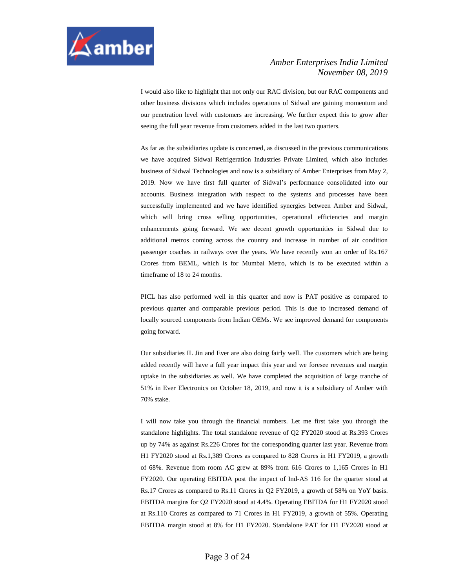

I would also like to highlight that not only our RAC division, but our RAC components and other business divisions which includes operations of Sidwal are gaining momentum and our penetration level with customers are increasing. We further expect this to grow after seeing the full year revenue from customers added in the last two quarters.

As far as the subsidiaries update is concerned, as discussed in the previous communications we have acquired Sidwal Refrigeration Industries Private Limited, which also includes business of Sidwal Technologies and now is a subsidiary of Amber Enterprises from May 2, 2019. Now we have first full quarter of Sidwal's performance consolidated into our accounts. Business integration with respect to the systems and processes have been successfully implemented and we have identified synergies between Amber and Sidwal, which will bring cross selling opportunities, operational efficiencies and margin enhancements going forward. We see decent growth opportunities in Sidwal due to additional metros coming across the country and increase in number of air condition passenger coaches in railways over the years. We have recently won an order of Rs.167 Crores from BEML, which is for Mumbai Metro, which is to be executed within a timeframe of 18 to 24 months.

PICL has also performed well in this quarter and now is PAT positive as compared to previous quarter and comparable previous period. This is due to increased demand of locally sourced components from Indian OEMs. We see improved demand for components going forward.

Our subsidiaries IL Jin and Ever are also doing fairly well. The customers which are being added recently will have a full year impact this year and we foresee revenues and margin uptake in the subsidiaries as well. We have completed the acquisition of large tranche of 51% in Ever Electronics on October 18, 2019, and now it is a subsidiary of Amber with 70% stake.

I will now take you through the financial numbers. Let me first take you through the standalone highlights. The total standalone revenue of Q2 FY2020 stood at Rs.393 Crores up by 74% as against Rs.226 Crores for the corresponding quarter last year. Revenue from H1 FY2020 stood at Rs.1,389 Crores as compared to 828 Crores in H1 FY2019, a growth of 68%. Revenue from room AC grew at 89% from 616 Crores to 1,165 Crores in H1 FY2020. Our operating EBITDA post the impact of Ind-AS 116 for the quarter stood at Rs.17 Crores as compared to Rs.11 Crores in Q2 FY2019, a growth of 58% on YoY basis. EBITDA margins for Q2 FY2020 stood at 4.4%. Operating EBITDA for H1 FY2020 stood at Rs.110 Crores as compared to 71 Crores in H1 FY2019, a growth of 55%. Operating EBITDA margin stood at 8% for H1 FY2020. Standalone PAT for H1 FY2020 stood at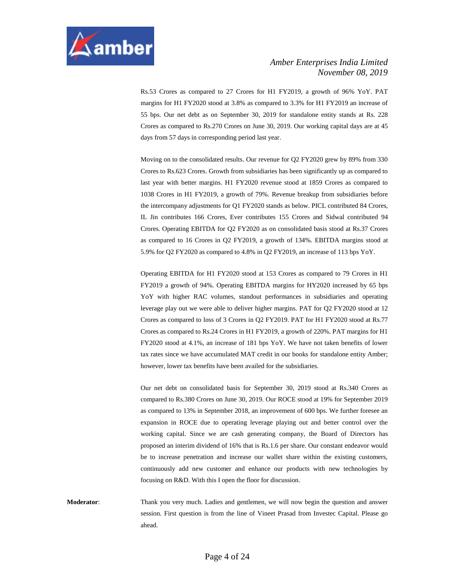

Rs.53 Crores as compared to 27 Crores for H1 FY2019, a growth of 96% YoY. PAT margins for H1 FY2020 stood at 3.8% as compared to 3.3% for H1 FY2019 an increase of 55 bps. Our net debt as on September 30, 2019 for standalone entity stands at Rs. 228 Crores as compared to Rs.270 Crores on June 30, 2019. Our working capital days are at 45 days from 57 days in corresponding period last year.

Moving on to the consolidated results. Our revenue for Q2 FY2020 grew by 89% from 330 Crores to Rs.623 Crores. Growth from subsidiaries has been significantly up as compared to last year with better margins. H1 FY2020 revenue stood at 1859 Crores as compared to 1038 Crores in H1 FY2019, a growth of 79%. Revenue breakup from subsidiaries before the intercompany adjustments for Q1 FY2020 stands as below. PICL contributed 84 Crores, IL Jin contributes 166 Crores, Ever contributes 155 Crores and Sidwal contributed 94 Crores. Operating EBITDA for Q2 FY2020 as on consolidated basis stood at Rs.37 Crores as compared to 16 Crores in Q2 FY2019, a growth of 134%. EBITDA margins stood at 5.9% for Q2 FY2020 as compared to 4.8% in Q2 FY2019, an increase of 113 bps YoY.

Operating EBITDA for H1 FY2020 stood at 153 Crores as compared to 79 Crores in H1 FY2019 a growth of 94%. Operating EBITDA margins for HY2020 increased by 65 bps YoY with higher RAC volumes, standout performances in subsidiaries and operating leverage play out we were able to deliver higher margins. PAT for Q2 FY2020 stood at 12 Crores as compared to loss of 3 Crores in Q2 FY2019. PAT for H1 FY2020 stood at Rs.77 Crores as compared to Rs.24 Crores in H1 FY2019, a growth of 220%. PAT margins for H1 FY2020 stood at 4.1%, an increase of 181 bps YoY. We have not taken benefits of lower tax rates since we have accumulated MAT credit in our books for standalone entity Amber; however, lower tax benefits have been availed for the subsidiaries.

Our net debt on consolidated basis for September 30, 2019 stood at Rs.340 Crores as compared to Rs.380 Crores on June 30, 2019. Our ROCE stood at 19% for September 2019 as compared to 13% in September 2018, an improvement of 600 bps. We further foresee an expansion in ROCE due to operating leverage playing out and better control over the working capital. Since we are cash generating company, the Board of Directors has proposed an interim dividend of 16% that is Rs.1.6 per share. Our constant endeavor would be to increase penetration and increase our wallet share within the existing customers, continuously add new customer and enhance our products with new technologies by focusing on R&D. With this I open the floor for discussion.

**Moderator**: Thank you very much. Ladies and gentlemen, we will now begin the question and answer session. First question is from the line of Vineet Prasad from Investec Capital. Please go ahead.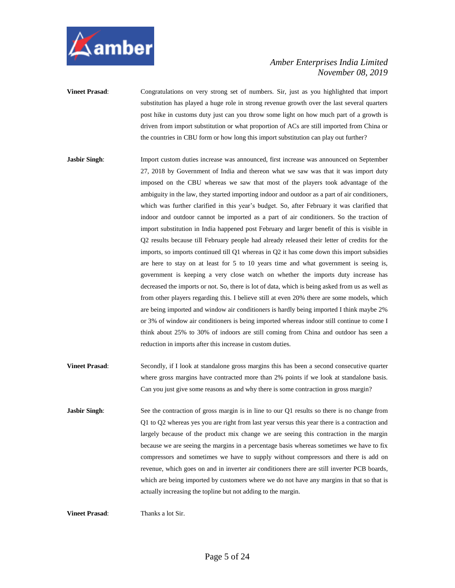

**Vineet Prasad:** Congratulations on very strong set of numbers. Sir, just as you highlighted that import substitution has played a huge role in strong revenue growth over the last several quarters post hike in customs duty just can you throw some light on how much part of a growth is driven from import substitution or what proportion of ACs are still imported from China or the countries in CBU form or how long this import substitution can play out further?

- **Jasbir Singh**: Import custom duties increase was announced, first increase was announced on September 27, 2018 by Government of India and thereon what we saw was that it was import duty imposed on the CBU whereas we saw that most of the players took advantage of the ambiguity in the law, they started importing indoor and outdoor as a part of air conditioners, which was further clarified in this year's budget. So, after February it was clarified that indoor and outdoor cannot be imported as a part of air conditioners. So the traction of import substitution in India happened post February and larger benefit of this is visible in Q2 results because till February people had already released their letter of credits for the imports, so imports continued till Q1 whereas in Q2 it has come down this import subsidies are here to stay on at least for 5 to 10 years time and what government is seeing is, government is keeping a very close watch on whether the imports duty increase has decreased the imports or not. So, there is lot of data, which is being asked from us as well as from other players regarding this. I believe still at even 20% there are some models, which are being imported and window air conditioners is hardly being imported I think maybe 2% or 3% of window air conditioners is being imported whereas indoor still continue to come I think about 25% to 30% of indoors are still coming from China and outdoor has seen a reduction in imports after this increase in custom duties.
- **Vineet Prasad:** Secondly, if I look at standalone gross margins this has been a second consecutive quarter where gross margins have contracted more than 2% points if we look at standalone basis. Can you just give some reasons as and why there is some contraction in gross margin?
- **Jasbir Singh:** See the contraction of gross margin is in line to our Q1 results so there is no change from Q1 to Q2 whereas yes you are right from last year versus this year there is a contraction and largely because of the product mix change we are seeing this contraction in the margin because we are seeing the margins in a percentage basis whereas sometimes we have to fix compressors and sometimes we have to supply without compressors and there is add on revenue, which goes on and in inverter air conditioners there are still inverter PCB boards, which are being imported by customers where we do not have any margins in that so that is actually increasing the topline but not adding to the margin.

**Vineet Prasad:** Thanks a lot Sir.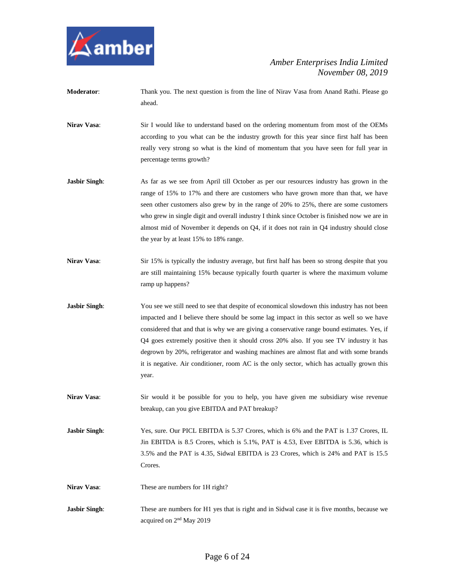

- **Moderator**: Thank you. The next question is from the line of Nirav Vasa from Anand Rathi. Please go ahead.
- **Nirav Vasa:** Sir I would like to understand based on the ordering momentum from most of the OEMs according to you what can be the industry growth for this year since first half has been really very strong so what is the kind of momentum that you have seen for full year in percentage terms growth?
- **Jasbir Singh:** As far as we see from April till October as per our resources industry has grown in the range of 15% to 17% and there are customers who have grown more than that, we have seen other customers also grew by in the range of 20% to 25%, there are some customers who grew in single digit and overall industry I think since October is finished now we are in almost mid of November it depends on Q4, if it does not rain in Q4 industry should close the year by at least 15% to 18% range.
- **Nirav Vasa:** Sir 15% is typically the industry average, but first half has been so strong despite that you are still maintaining 15% because typically fourth quarter is where the maximum volume ramp up happens?
- **Jasbir Singh:** You see we still need to see that despite of economical slowdown this industry has not been impacted and I believe there should be some lag impact in this sector as well so we have considered that and that is why we are giving a conservative range bound estimates. Yes, if Q4 goes extremely positive then it should cross 20% also. If you see TV industry it has degrown by 20%, refrigerator and washing machines are almost flat and with some brands it is negative. Air conditioner, room AC is the only sector, which has actually grown this year.
- **Nirav Vasa**: Sir would it be possible for you to help, you have given me subsidiary wise revenue breakup, can you give EBITDA and PAT breakup?

**Jasbir Singh:** Yes, sure. Our PICL EBITDA is 5.37 Crores, which is 6% and the PAT is 1.37 Crores, IL Jin EBITDA is 8.5 Crores, which is 5.1%, PAT is 4.53, Ever EBITDA is 5.36, which is 3.5% and the PAT is 4.35, Sidwal EBITDA is 23 Crores, which is 24% and PAT is 15.5 Crores.

- **Nirav Vasa:** These are numbers for 1H right?
- **Jasbir Singh:** These are numbers for H1 yes that is right and in Sidwal case it is five months, because we acquired on 2nd May 2019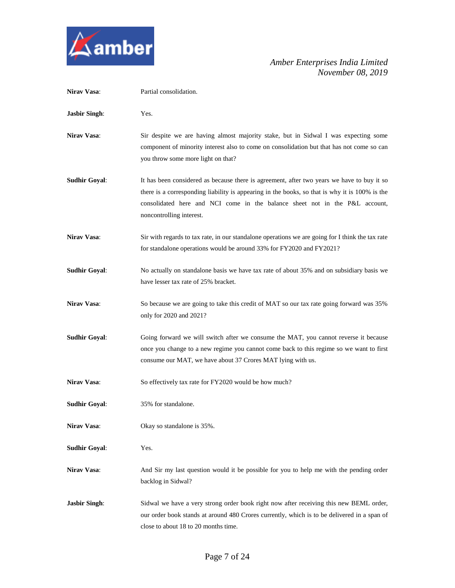

| Nirav Vasa:          | Partial consolidation.                                                                                                                                                                                                                                                                                  |
|----------------------|---------------------------------------------------------------------------------------------------------------------------------------------------------------------------------------------------------------------------------------------------------------------------------------------------------|
| <b>Jasbir Singh:</b> | Yes.                                                                                                                                                                                                                                                                                                    |
| <b>Nirav Vasa:</b>   | Sir despite we are having almost majority stake, but in Sidwal I was expecting some<br>component of minority interest also to come on consolidation but that has not come so can<br>you throw some more light on that?                                                                                  |
| <b>Sudhir Goyal:</b> | It has been considered as because there is agreement, after two years we have to buy it so<br>there is a corresponding liability is appearing in the books, so that is why it is 100% is the<br>consolidated here and NCI come in the balance sheet not in the P&L account,<br>noncontrolling interest. |
| <b>Nirav Vasa:</b>   | Sir with regards to tax rate, in our standalone operations we are going for I think the tax rate<br>for standalone operations would be around 33% for FY2020 and FY2021?                                                                                                                                |
| <b>Sudhir Goyal:</b> | No actually on standalone basis we have tax rate of about 35% and on subsidiary basis we<br>have lesser tax rate of 25% bracket.                                                                                                                                                                        |
| Nirav Vasa:          | So because we are going to take this credit of MAT so our tax rate going forward was 35%<br>only for 2020 and 2021?                                                                                                                                                                                     |
| <b>Sudhir Goyal:</b> | Going forward we will switch after we consume the MAT, you cannot reverse it because<br>once you change to a new regime you cannot come back to this regime so we want to first<br>consume our MAT, we have about 37 Crores MAT lying with us.                                                          |
| <b>Nirav Vasa:</b>   | So effectively tax rate for FY2020 would be how much?                                                                                                                                                                                                                                                   |
| <b>Sudhir Goyal:</b> | 35% for standalone.                                                                                                                                                                                                                                                                                     |
| Nirav Vasa:          | Okay so standalone is 35%.                                                                                                                                                                                                                                                                              |
| <b>Sudhir Goyal:</b> | Yes.                                                                                                                                                                                                                                                                                                    |
| Nirav Vasa:          | And Sir my last question would it be possible for you to help me with the pending order<br>backlog in Sidwal?                                                                                                                                                                                           |
| <b>Jasbir Singh:</b> | Sidwal we have a very strong order book right now after receiving this new BEML order,<br>our order book stands at around 480 Crores currently, which is to be delivered in a span of<br>close to about 18 to 20 months time.                                                                           |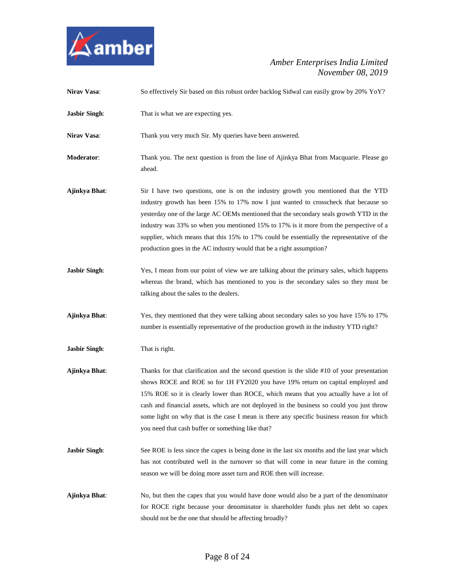

| Nirav Vasa:          | So effectively Sir based on this robust order backlog Sidwal can easily grow by 20% YoY?                                                                                                                                                                                                                                                                                                                                                                                                                                            |
|----------------------|-------------------------------------------------------------------------------------------------------------------------------------------------------------------------------------------------------------------------------------------------------------------------------------------------------------------------------------------------------------------------------------------------------------------------------------------------------------------------------------------------------------------------------------|
| <b>Jasbir Singh:</b> | That is what we are expecting yes.                                                                                                                                                                                                                                                                                                                                                                                                                                                                                                  |
| Nirav Vasa:          | Thank you very much Sir. My queries have been answered.                                                                                                                                                                                                                                                                                                                                                                                                                                                                             |
| Moderator:           | Thank you. The next question is from the line of Ajinkya Bhat from Macquarie. Please go<br>ahead.                                                                                                                                                                                                                                                                                                                                                                                                                                   |
| Ajinkya Bhat:        | Sir I have two questions, one is on the industry growth you mentioned that the YTD<br>industry growth has been 15% to 17% now I just wanted to crosscheck that because so<br>yesterday one of the large AC OEMs mentioned that the secondary seals growth YTD in the<br>industry was 33% so when you mentioned 15% to 17% is it more from the perspective of a<br>supplier, which means that this 15% to 17% could be essentially the representative of the<br>production goes in the AC industry would that be a right assumption? |
| <b>Jasbir Singh:</b> | Yes, I mean from our point of view we are talking about the primary sales, which happens<br>whereas the brand, which has mentioned to you is the secondary sales so they must be<br>talking about the sales to the dealers.                                                                                                                                                                                                                                                                                                         |
| Ajinkya Bhat:        | Yes, they mentioned that they were talking about secondary sales so you have 15% to 17%<br>number is essentially representative of the production growth in the industry YTD right?                                                                                                                                                                                                                                                                                                                                                 |
| <b>Jasbir Singh:</b> | That is right.                                                                                                                                                                                                                                                                                                                                                                                                                                                                                                                      |
| Ajinkya Bhat:        | Thanks for that clarification and the second question is the slide #10 of your presentation<br>shows ROCE and ROE so for 1H FY2020 you have 19% return on capital employed and<br>15% ROE so it is clearly lower than ROCE, which means that you actually have a lot of<br>cash and financial assets, which are not deployed in the business so could you just throw<br>some light on why that is the case I mean is there any specific business reason for which<br>you need that cash buffer or something like that?              |
| <b>Jasbir Singh:</b> | See ROE is less since the capex is being done in the last six months and the last year which<br>has not contributed well in the turnover so that will come in near future in the coming<br>season we will be doing more asset turn and ROE then will increase.                                                                                                                                                                                                                                                                      |
| Ajinkya Bhat:        | No, but then the capex that you would have done would also be a part of the denominator<br>for ROCE right because your denominator is shareholder funds plus net debt so capex<br>should not be the one that should be affecting broadly?                                                                                                                                                                                                                                                                                           |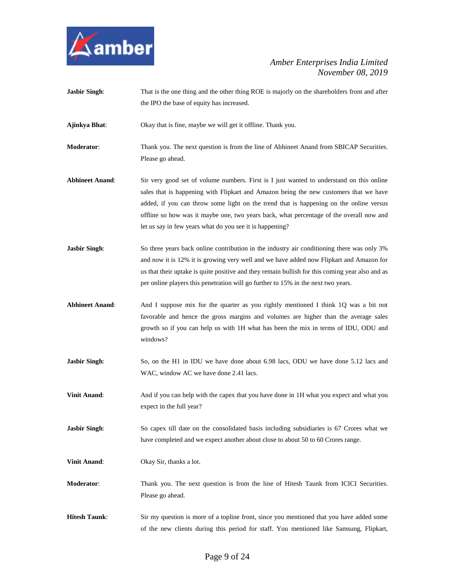

**Jasbir Singh:** That is the one thing and the other thing ROE is majorly on the shareholders front and after the IPO the base of equity has increased.

**Ajinkya Bhat**: Okay that is fine, maybe we will get it offline. Thank you.

**Moderator:** Thank you. The next question is from the line of Abhineet Anand from SBICAP Securities. Please go ahead.

- **Abhineet Anand**: Sir very good set of volume numbers. First is I just wanted to understand on this online sales that is happening with Flipkart and Amazon being the new customers that we have added, if you can throw some light on the trend that is happening on the online versus offline so how was it maybe one, two years back, what percentage of the overall now and let us say in few years what do you see it is happening?
- **Jasbir Singh**: So three years back online contribution in the industry air conditioning there was only 3% and now it is 12% it is growing very well and we have added now Flipkart and Amazon for us that their uptake is quite positive and they remain bullish for this coming year also and as per online players this penetration will go further to 15% in the next two years.
- **Abhineet Anand**: And I suppose mix for the quarter as you rightly mentioned I think 1Q was a bit not favorable and hence the gross margins and volumes are higher than the average sales growth so if you can help us with 1H what has been the mix in terms of IDU, ODU and windows?
- **Jasbir Singh:** So, on the H1 in IDU we have done about 6.98 lacs, ODU we have done 5.12 lacs and WAC, window AC we have done 2.41 lacs.
- **Vinit Anand:** And if you can help with the capex that you have done in 1H what you expect and what you expect in the full year?
- **Jasbir Singh:** So capex till date on the consolidated basis including subsidiaries is 67 Crores what we have completed and we expect another about close to about 50 to 60 Crores range.
- **Vinit Anand:** Okay Sir, thanks a lot.
- **Moderator**: Thank you. The next question is from the line of Hitesh Taunk from ICICI Securities. Please go ahead.
- **Hitesh Taunk**: Sir my question is more of a topline front, since you mentioned that you have added some of the new clients during this period for staff. You mentioned like Samsung, Flipkart,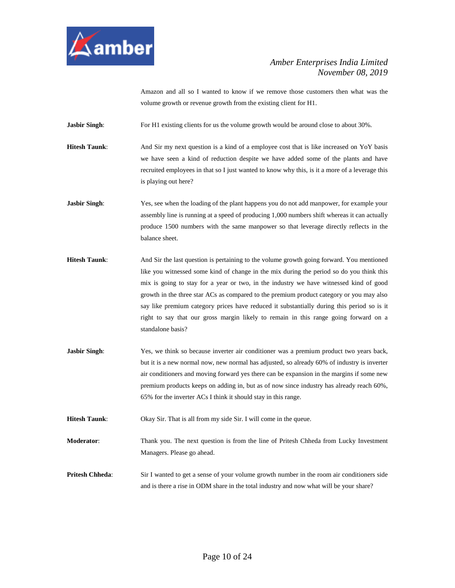

Amazon and all so I wanted to know if we remove those customers then what was the volume growth or revenue growth from the existing client for H1.

**Jasbir Singh:** For H1 existing clients for us the volume growth would be around close to about 30%.

**Hitesh Taunk:** And Sir my next question is a kind of a employee cost that is like increased on YoY basis we have seen a kind of reduction despite we have added some of the plants and have recruited employees in that so I just wanted to know why this, is it a more of a leverage this is playing out here?

- **Jasbir Singh:** Yes, see when the loading of the plant happens you do not add manpower, for example your assembly line is running at a speed of producing 1,000 numbers shift whereas it can actually produce 1500 numbers with the same manpower so that leverage directly reflects in the balance sheet.
- **Hitesh Taunk:** And Sir the last question is pertaining to the volume growth going forward. You mentioned like you witnessed some kind of change in the mix during the period so do you think this mix is going to stay for a year or two, in the industry we have witnessed kind of good growth in the three star ACs as compared to the premium product category or you may also say like premium category prices have reduced it substantially during this period so is it right to say that our gross margin likely to remain in this range going forward on a standalone basis?
- **Jasbir Singh:** Yes, we think so because inverter air conditioner was a premium product two years back, but it is a new normal now, new normal has adjusted, so already 60% of industry is inverter air conditioners and moving forward yes there can be expansion in the margins if some new premium products keeps on adding in, but as of now since industry has already reach 60%, 65% for the inverter ACs I think it should stay in this range.

**Hitesh Taunk:** Okay Sir. That is all from my side Sir. I will come in the queue.

**Moderator**: Thank you. The next question is from the line of Pritesh Chheda from Lucky Investment Managers. Please go ahead.

**Pritesh Chheda**: Sir I wanted to get a sense of your volume growth number in the room air conditioners side and is there a rise in ODM share in the total industry and now what will be your share?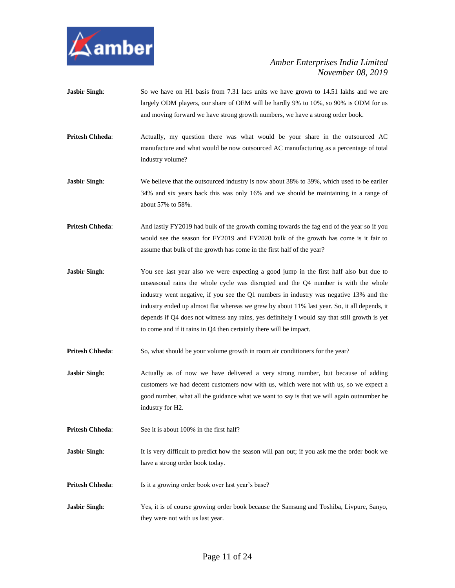

- **Jasbir Singh**: So we have on H1 basis from 7.31 lacs units we have grown to 14.51 lakhs and we are largely ODM players, our share of OEM will be hardly 9% to 10%, so 90% is ODM for us and moving forward we have strong growth numbers, we have a strong order book.
- **Pritesh Chheda:** Actually, my question there was what would be your share in the outsourced AC manufacture and what would be now outsourced AC manufacturing as a percentage of total industry volume?
- **Jasbir Singh:** We believe that the outsourced industry is now about 38% to 39%, which used to be earlier 34% and six years back this was only 16% and we should be maintaining in a range of about 57% to 58%.
- **Pritesh Chheda**: And lastly FY2019 had bulk of the growth coming towards the fag end of the year so if you would see the season for FY2019 and FY2020 bulk of the growth has come is it fair to assume that bulk of the growth has come in the first half of the year?
- **Jasbir Singh:** You see last year also we were expecting a good jump in the first half also but due to unseasonal rains the whole cycle was disrupted and the Q4 number is with the whole industry went negative, if you see the Q1 numbers in industry was negative 13% and the industry ended up almost flat whereas we grew by about 11% last year. So, it all depends, it depends if Q4 does not witness any rains, yes definitely I would say that still growth is yet to come and if it rains in Q4 then certainly there will be impact.
- **Pritesh Chheda:** So, what should be your volume growth in room air conditioners for the year?
- **Jasbir Singh:** Actually as of now we have delivered a very strong number, but because of adding customers we had decent customers now with us, which were not with us, so we expect a good number, what all the guidance what we want to say is that we will again outnumber he industry for H2.
- **Pritesh Chheda:** See it is about 100% in the first half?
- **Jasbir Singh:** It is very difficult to predict how the season will pan out; if you ask me the order book we have a strong order book today.
- **Pritesh Chheda:** Is it a growing order book over last year's base?
- **Jasbir Singh**: Yes, it is of course growing order book because the Samsung and Toshiba, Livpure, Sanyo, they were not with us last year.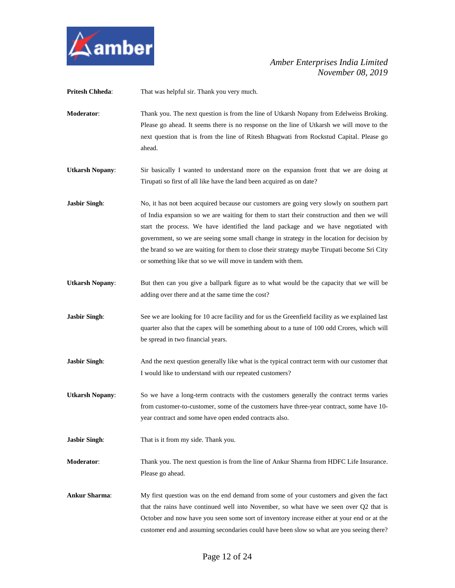

**Pritesh Chheda:** That was helpful sir. Thank you very much.

- **Moderator**: Thank you. The next question is from the line of Utkarsh Nopany from Edelweiss Broking. Please go ahead. It seems there is no response on the line of Utkarsh we will move to the next question that is from the line of Ritesh Bhagwati from Rockstud Capital. Please go ahead.
- **Utkarsh Nopany**: Sir basically I wanted to understand more on the expansion front that we are doing at Tirupati so first of all like have the land been acquired as on date?
- **Jasbir Singh:** No, it has not been acquired because our customers are going very slowly on southern part of India expansion so we are waiting for them to start their construction and then we will start the process. We have identified the land package and we have negotiated with government, so we are seeing some small change in strategy in the location for decision by the brand so we are waiting for them to close their strategy maybe Tirupati become Sri City or something like that so we will move in tandem with them.
- **Utkarsh Nopany:** But then can you give a ballpark figure as to what would be the capacity that we will be adding over there and at the same time the cost?
- **Jasbir Singh:** See we are looking for 10 acre facility and for us the Greenfield facility as we explained last quarter also that the capex will be something about to a tune of 100 odd Crores, which will be spread in two financial years.
- **Jasbir Singh:** And the next question generally like what is the typical contract term with our customer that I would like to understand with our repeated customers?
- **Utkarsh Nopany**: So we have a long-term contracts with the customers generally the contract terms varies from customer-to-customer, some of the customers have three-year contract, some have 10 year contract and some have open ended contracts also.
- **Jasbir Singh**: That is it from my side. Thank you.
- **Moderator**: Thank you. The next question is from the line of Ankur Sharma from HDFC Life Insurance. Please go ahead.
- **Ankur Sharma**: My first question was on the end demand from some of your customers and given the fact that the rains have continued well into November, so what have we seen over Q2 that is October and now have you seen some sort of inventory increase either at your end or at the customer end and assuming secondaries could have been slow so what are you seeing there?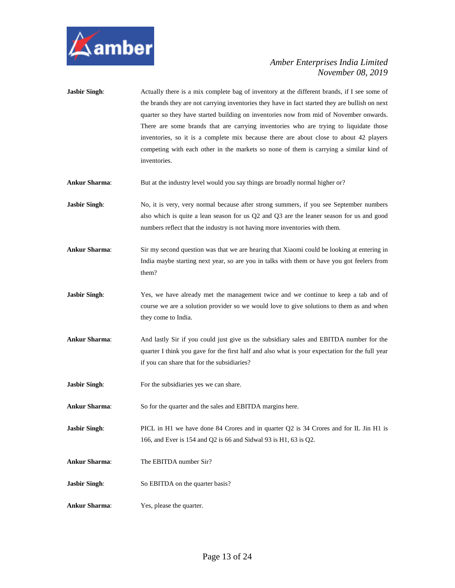

- **Jasbir Singh:** Actually there is a mix complete bag of inventory at the different brands, if I see some of the brands they are not carrying inventories they have in fact started they are bullish on next quarter so they have started building on inventories now from mid of November onwards. There are some brands that are carrying inventories who are trying to liquidate those inventories, so it is a complete mix because there are about close to about 42 players competing with each other in the markets so none of them is carrying a similar kind of inventories.
- **Ankur Sharma**: But at the industry level would you say things are broadly normal higher or?
- **Jasbir Singh:** No, it is very, very normal because after strong summers, if you see September numbers also which is quite a lean season for us Q2 and Q3 are the leaner season for us and good numbers reflect that the industry is not having more inventories with them.
- Ankur Sharma: Sir my second question was that we are hearing that Xiaomi could be looking at entering in India maybe starting next year, so are you in talks with them or have you got feelers from them?
- **Jasbir Singh:** Yes, we have already met the management twice and we continue to keep a tab and of course we are a solution provider so we would love to give solutions to them as and when they come to India.
- **Ankur Sharma**: And lastly Sir if you could just give us the subsidiary sales and EBITDA number for the quarter I think you gave for the first half and also what is your expectation for the full year if you can share that for the subsidiaries?
- **Jasbir Singh:** For the subsidiaries yes we can share.
- **Ankur Sharma**: So for the quarter and the sales and EBITDA margins here.
- **Jasbir Singh:** PICL in H1 we have done 84 Crores and in quarter Q2 is 34 Crores and for IL Jin H1 is 166, and Ever is 154 and Q2 is 66 and Sidwal 93 is H1, 63 is Q2.
- **Ankur Sharma**: The EBITDA number Sir?
- **Jasbir Singh:** So EBITDA on the quarter basis?
- **Ankur Sharma**: Yes, please the quarter.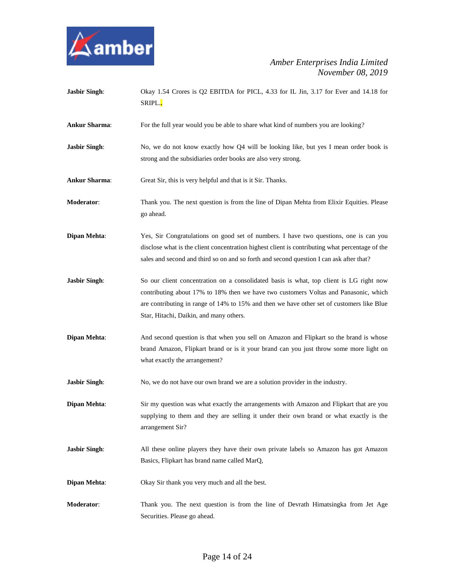

| <b>Jasbir Singh:</b> | Okay 1.54 Crores is Q2 EBITDA for PICL, 4.33 for IL Jin, 3.17 for Ever and 14.18 for<br>SRIPL.                                                                                                                                                                                                                          |
|----------------------|-------------------------------------------------------------------------------------------------------------------------------------------------------------------------------------------------------------------------------------------------------------------------------------------------------------------------|
| <b>Ankur Sharma:</b> | For the full year would you be able to share what kind of numbers you are looking?                                                                                                                                                                                                                                      |
| <b>Jasbir Singh:</b> | No, we do not know exactly how Q4 will be looking like, but yes I mean order book is<br>strong and the subsidiaries order books are also very strong.                                                                                                                                                                   |
| <b>Ankur Sharma:</b> | Great Sir, this is very helpful and that is it Sir. Thanks.                                                                                                                                                                                                                                                             |
| Moderator:           | Thank you. The next question is from the line of Dipan Mehta from Elixir Equities. Please<br>go ahead.                                                                                                                                                                                                                  |
| Dipan Mehta:         | Yes, Sir Congratulations on good set of numbers. I have two questions, one is can you<br>disclose what is the client concentration highest client is contributing what percentage of the<br>sales and second and third so on and so forth and second question I can ask after that?                                     |
| <b>Jasbir Singh:</b> | So our client concentration on a consolidated basis is what, top client is LG right now<br>contributing about 17% to 18% then we have two customers Voltas and Panasonic, which<br>are contributing in range of 14% to 15% and then we have other set of customers like Blue<br>Star, Hitachi, Daikin, and many others. |
| Dipan Mehta:         | And second question is that when you sell on Amazon and Flipkart so the brand is whose<br>brand Amazon, Flipkart brand or is it your brand can you just throw some more light on<br>what exactly the arrangement?                                                                                                       |
| <b>Jasbir Singh:</b> | No, we do not have our own brand we are a solution provider in the industry.                                                                                                                                                                                                                                            |
| Dipan Mehta:         | Sir my question was what exactly the arrangements with Amazon and Flipkart that are you<br>supplying to them and they are selling it under their own brand or what exactly is the<br>arrangement Sir?                                                                                                                   |
| <b>Jasbir Singh:</b> | All these online players they have their own private labels so Amazon has got Amazon<br>Basics, Flipkart has brand name called MarQ,                                                                                                                                                                                    |
| <b>Dipan Mehta:</b>  | Okay Sir thank you very much and all the best.                                                                                                                                                                                                                                                                          |
| Moderator:           | Thank you. The next question is from the line of Devrath Himatsingka from Jet Age<br>Securities. Please go ahead.                                                                                                                                                                                                       |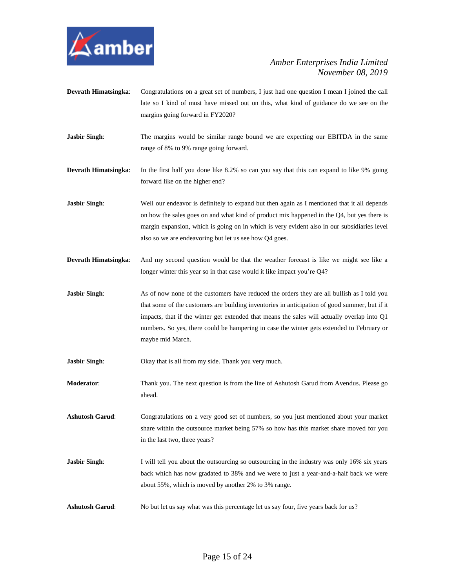

- **Devrath Himatsingka**: Congratulations on a great set of numbers, I just had one question I mean I joined the call late so I kind of must have missed out on this, what kind of guidance do we see on the margins going forward in FY2020?
- **Jasbir Singh:** The margins would be similar range bound we are expecting our EBITDA in the same range of 8% to 9% range going forward.

**Devrath Himatsingka**: In the first half you done like 8.2% so can you say that this can expand to like 9% going forward like on the higher end?

**Jasbir Singh:** Well our endeavor is definitely to expand but then again as I mentioned that it all depends on how the sales goes on and what kind of product mix happened in the Q4, but yes there is margin expansion, which is going on in which is very evident also in our subsidiaries level also so we are endeavoring but let us see how Q4 goes.

- **Devrath Himatsingka**: And my second question would be that the weather forecast is like we might see like a longer winter this year so in that case would it like impact you're Q4?
- **Jasbir Singh:** As of now none of the customers have reduced the orders they are all bullish as I told you that some of the customers are building inventories in anticipation of good summer, but if it impacts, that if the winter get extended that means the sales will actually overlap into Q1 numbers. So yes, there could be hampering in case the winter gets extended to February or maybe mid March.

**Jasbir Singh:** Okay that is all from my side. Thank you very much.

**Moderator**: Thank you. The next question is from the line of Ashutosh Garud from Avendus. Please go ahead.

**Ashutosh Garud**: Congratulations on a very good set of numbers, so you just mentioned about your market share within the outsource market being 57% so how has this market share moved for you in the last two, three years?

- **Jasbir Singh:** I will tell you about the outsourcing so outsourcing in the industry was only 16% six years back which has now gradated to 38% and we were to just a year-and-a-half back we were about 55%, which is moved by another 2% to 3% range.
- **Ashutosh Garud**: No but let us say what was this percentage let us say four, five years back for us?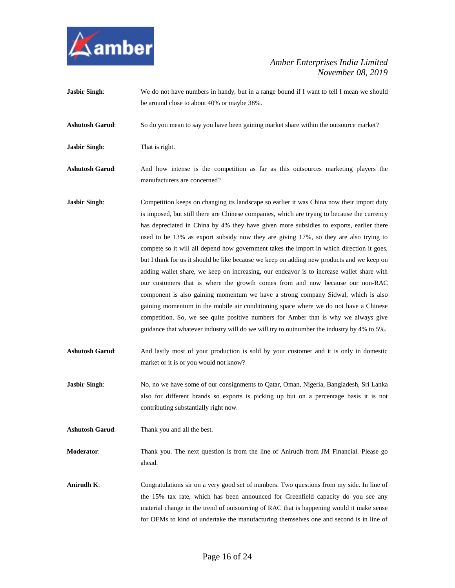

**Jasbir Singh**: We do not have numbers in handy, but in a range bound if I want to tell I mean we should be around close to about 40% or maybe 38%.

**Ashutosh Garud**: So do you mean to say you have been gaining market share within the outsource market?

**Jasbir Singh**: That is right.

**Ashutosh Garud**: And how intense is the competition as far as this outsources marketing players the manufacturers are concerned?

**Jasbir Singh:** Competition keeps on changing its landscape so earlier it was China now their import duty is imposed, but still there are Chinese companies, which are trying to because the currency has depreciated in China by 4% they have given more subsidies to exports, earlier there used to be 13% as export subsidy now they are giving 17%, so they are also trying to compete so it will all depend how government takes the import in which direction it goes, but I think for us it should be like because we keep on adding new products and we keep on adding wallet share, we keep on increasing, our endeavor is to increase wallet share with our customers that is where the growth comes from and now because our non-RAC component is also gaining momentum we have a strong company Sidwal, which is also gaining momentum in the mobile air conditioning space where we do not have a Chinese competition. So, we see quite positive numbers for Amber that is why we always give guidance that whatever industry will do we will try to outnumber the industry by 4% to 5%.

**Ashutosh Garud**: And lastly most of your production is sold by your customer and it is only in domestic market or it is or you would not know?

**Jasbir Singh:** No, no we have some of our consignments to Qatar, Oman, Nigeria, Bangladesh, Sri Lanka also for different brands so exports is picking up but on a percentage basis it is not contributing substantially right now.

**Ashutosh Garud**: Thank you and all the best.

**Moderator**: Thank you. The next question is from the line of Anirudh from JM Financial. Please go ahead.

**Anirudh K**: Congratulations sir on a very good set of numbers. Two questions from my side. In line of the 15% tax rate, which has been announced for Greenfield capacity do you see any material change in the trend of outsourcing of RAC that is happening would it make sense for OEMs to kind of undertake the manufacturing themselves one and second is in line of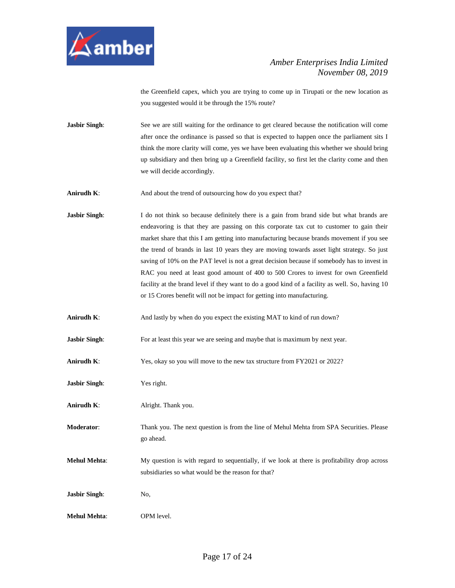

the Greenfield capex, which you are trying to come up in Tirupati or the new location as you suggested would it be through the 15% route?

- **Jasbir Singh:** See we are still waiting for the ordinance to get cleared because the notification will come after once the ordinance is passed so that is expected to happen once the parliament sits I think the more clarity will come, yes we have been evaluating this whether we should bring up subsidiary and then bring up a Greenfield facility, so first let the clarity come and then we will decide accordingly.
- Anirudh K: And about the trend of outsourcing how do you expect that?
- **Jasbir Singh:** I do not think so because definitely there is a gain from brand side but what brands are endeavoring is that they are passing on this corporate tax cut to customer to gain their market share that this I am getting into manufacturing because brands movement if you see the trend of brands in last 10 years they are moving towards asset light strategy. So just saving of 10% on the PAT level is not a great decision because if somebody has to invest in RAC you need at least good amount of 400 to 500 Crores to invest for own Greenfield facility at the brand level if they want to do a good kind of a facility as well. So, having 10 or 15 Crores benefit will not be impact for getting into manufacturing.
- **Anirudh K**: And lastly by when do you expect the existing MAT to kind of run down?
- **Jasbir Singh:** For at least this year we are seeing and maybe that is maximum by next year.
- **Anirudh K**: Yes, okay so you will move to the new tax structure from FY2021 or 2022?
- **Jasbir Singh**: Yes right.
- **Anirudh K**: Alright. Thank you.
- **Moderator**: Thank you. The next question is from the line of Mehul Mehta from SPA Securities. Please go ahead.
- **Mehul Mehta:** My question is with regard to sequentially, if we look at there is profitability drop across subsidiaries so what would be the reason for that?
- **Jasbir Singh**: No,
- **Mehul Mehta**: OPM level.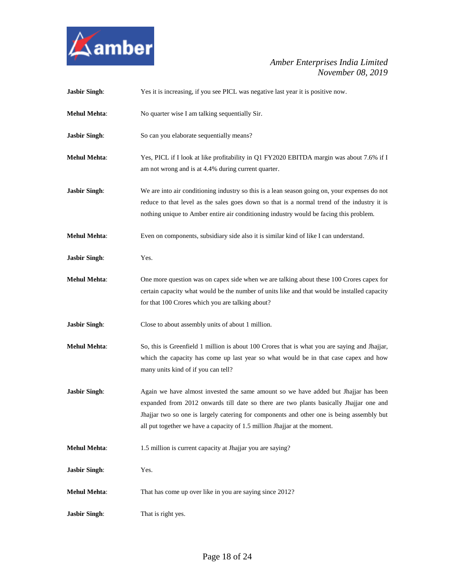

| <b>Jasbir Singh:</b> | Yes it is increasing, if you see PICL was negative last year it is positive now.                                                                                                                                                                                                                                                                        |
|----------------------|---------------------------------------------------------------------------------------------------------------------------------------------------------------------------------------------------------------------------------------------------------------------------------------------------------------------------------------------------------|
| <b>Mehul Mehta:</b>  | No quarter wise I am talking sequentially Sir.                                                                                                                                                                                                                                                                                                          |
| <b>Jasbir Singh:</b> | So can you elaborate sequentially means?                                                                                                                                                                                                                                                                                                                |
| <b>Mehul Mehta:</b>  | Yes, PICL if I look at like profitability in Q1 FY2020 EBITDA margin was about 7.6% if I<br>am not wrong and is at 4.4% during current quarter.                                                                                                                                                                                                         |
| <b>Jasbir Singh:</b> | We are into air conditioning industry so this is a lean season going on, your expenses do not<br>reduce to that level as the sales goes down so that is a normal trend of the industry it is<br>nothing unique to Amber entire air conditioning industry would be facing this problem.                                                                  |
| <b>Mehul Mehta:</b>  | Even on components, subsidiary side also it is similar kind of like I can understand.                                                                                                                                                                                                                                                                   |
| <b>Jasbir Singh:</b> | Yes.                                                                                                                                                                                                                                                                                                                                                    |
| <b>Mehul Mehta:</b>  | One more question was on capex side when we are talking about these 100 Crores capex for<br>certain capacity what would be the number of units like and that would be installed capacity<br>for that 100 Crores which you are talking about?                                                                                                            |
| <b>Jasbir Singh:</b> | Close to about assembly units of about 1 million.                                                                                                                                                                                                                                                                                                       |
| <b>Mehul Mehta:</b>  | So, this is Greenfield 1 million is about 100 Crores that is what you are saying and Jhajjar,<br>which the capacity has come up last year so what would be in that case capex and how<br>many units kind of if you can tell?                                                                                                                            |
| <b>Jasbir Singh:</b> | Again we have almost invested the same amount so we have added but Jhajjar has been<br>expanded from 2012 onwards till date so there are two plants basically Jhajjar one and<br>Jhajjar two so one is largely catering for components and other one is being assembly but<br>all put together we have a capacity of 1.5 million Jhajjar at the moment. |
| <b>Mehul Mehta:</b>  | 1.5 million is current capacity at Jhajjar you are saying?                                                                                                                                                                                                                                                                                              |
| <b>Jasbir Singh:</b> | Yes.                                                                                                                                                                                                                                                                                                                                                    |
| <b>Mehul Mehta:</b>  | That has come up over like in you are saying since 2012?                                                                                                                                                                                                                                                                                                |
| <b>Jasbir Singh:</b> | That is right yes.                                                                                                                                                                                                                                                                                                                                      |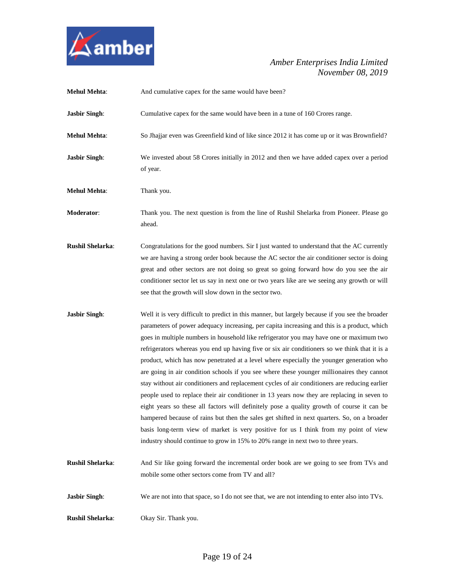

| <b>Mehul Mehta:</b>     | And cumulative capex for the same would have been?                                                                                                                                                                                                                                                                                                                                                                                                                                                                                                                                                                                                                                                                                                                                                                                                                                                                                                                                                                                                         |
|-------------------------|------------------------------------------------------------------------------------------------------------------------------------------------------------------------------------------------------------------------------------------------------------------------------------------------------------------------------------------------------------------------------------------------------------------------------------------------------------------------------------------------------------------------------------------------------------------------------------------------------------------------------------------------------------------------------------------------------------------------------------------------------------------------------------------------------------------------------------------------------------------------------------------------------------------------------------------------------------------------------------------------------------------------------------------------------------|
| <b>Jasbir Singh:</b>    | Cumulative capex for the same would have been in a tune of 160 Crores range.                                                                                                                                                                                                                                                                                                                                                                                                                                                                                                                                                                                                                                                                                                                                                                                                                                                                                                                                                                               |
| <b>Mehul Mehta:</b>     | So Jhajjar even was Greenfield kind of like since 2012 it has come up or it was Brownfield?                                                                                                                                                                                                                                                                                                                                                                                                                                                                                                                                                                                                                                                                                                                                                                                                                                                                                                                                                                |
| <b>Jasbir Singh:</b>    | We invested about 58 Crores initially in 2012 and then we have added capex over a period<br>of year.                                                                                                                                                                                                                                                                                                                                                                                                                                                                                                                                                                                                                                                                                                                                                                                                                                                                                                                                                       |
| <b>Mehul Mehta:</b>     | Thank you.                                                                                                                                                                                                                                                                                                                                                                                                                                                                                                                                                                                                                                                                                                                                                                                                                                                                                                                                                                                                                                                 |
| <b>Moderator:</b>       | Thank you. The next question is from the line of Rushil Shelarka from Pioneer. Please go<br>ahead.                                                                                                                                                                                                                                                                                                                                                                                                                                                                                                                                                                                                                                                                                                                                                                                                                                                                                                                                                         |
| <b>Rushil Shelarka:</b> | Congratulations for the good numbers. Sir I just wanted to understand that the AC currently<br>we are having a strong order book because the AC sector the air conditioner sector is doing<br>great and other sectors are not doing so great so going forward how do you see the air<br>conditioner sector let us say in next one or two years like are we seeing any growth or will<br>see that the growth will slow down in the sector two.                                                                                                                                                                                                                                                                                                                                                                                                                                                                                                                                                                                                              |
| <b>Jasbir Singh:</b>    | Well it is very difficult to predict in this manner, but largely because if you see the broader                                                                                                                                                                                                                                                                                                                                                                                                                                                                                                                                                                                                                                                                                                                                                                                                                                                                                                                                                            |
|                         | parameters of power adequacy increasing, per capita increasing and this is a product, which<br>goes in multiple numbers in household like refrigerator you may have one or maximum two<br>refrigerators whereas you end up having five or six air conditioners so we think that it is a<br>product, which has now penetrated at a level where especially the younger generation who<br>are going in air condition schools if you see where these younger millionaires they cannot<br>stay without air conditioners and replacement cycles of air conditioners are reducing earlier<br>people used to replace their air conditioner in 13 years now they are replacing in seven to<br>eight years so these all factors will definitely pose a quality growth of course it can be<br>hampered because of rains but then the sales get shifted in next quarters. So, on a broader<br>basis long-term view of market is very positive for us I think from my point of view<br>industry should continue to grow in 15% to 20% range in next two to three years. |
| <b>Rushil Shelarka:</b> | And Sir like going forward the incremental order book are we going to see from TVs and<br>mobile some other sectors come from TV and all?                                                                                                                                                                                                                                                                                                                                                                                                                                                                                                                                                                                                                                                                                                                                                                                                                                                                                                                  |
| <b>Jasbir Singh:</b>    | We are not into that space, so I do not see that, we are not intending to enter also into TVs.                                                                                                                                                                                                                                                                                                                                                                                                                                                                                                                                                                                                                                                                                                                                                                                                                                                                                                                                                             |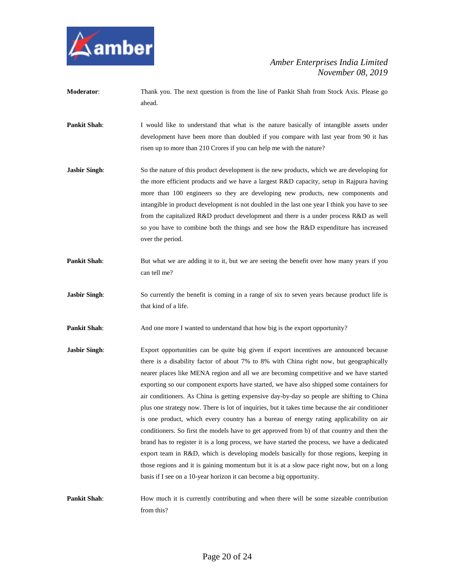

- **Moderator:** Thank you. The next question is from the line of Pankit Shah from Stock Axis. Please go ahead.
- **Pankit Shah**: I would like to understand that what is the nature basically of intangible assets under development have been more than doubled if you compare with last year from 90 it has risen up to more than 210 Crores if you can help me with the nature?
- **Jasbir Singh:** So the nature of this product development is the new products, which we are developing for the more efficient products and we have a largest R&D capacity, setup in Rajpura having more than 100 engineers so they are developing new products, new components and intangible in product development is not doubled in the last one year I think you have to see from the capitalized R&D product development and there is a under process R&D as well so you have to combine both the things and see how the R&D expenditure has increased over the period.
- **Pankit Shah:** But what we are adding it to it, but we are seeing the benefit over how many years if you can tell me?
- **Jasbir Singh:** So currently the benefit is coming in a range of six to seven years because product life is that kind of a life.

**Pankit Shah**: And one more I wanted to understand that how big is the export opportunity?

- **Jasbir Singh:** Export opportunities can be quite big given if export incentives are announced because there is a disability factor of about 7% to 8% with China right now, but geographically nearer places like MENA region and all we are becoming competitive and we have started exporting so our component exports have started, we have also shipped some containers for air conditioners. As China is getting expensive day-by-day so people are shifting to China plus one strategy now. There is lot of inquiries, but it takes time because the air conditioner is one product, which every country has a bureau of energy rating applicability on air conditioners. So first the models have to get approved from b) of that country and then the brand has to register it is a long process, we have started the process, we have a dedicated export team in R&D, which is developing models basically for those regions, keeping in those regions and it is gaining momentum but it is at a slow pace right now, but on a long basis if I see on a 10-year horizon it can become a big opportunity.
- **Pankit Shah:** How much it is currently contributing and when there will be some sizeable contribution from this?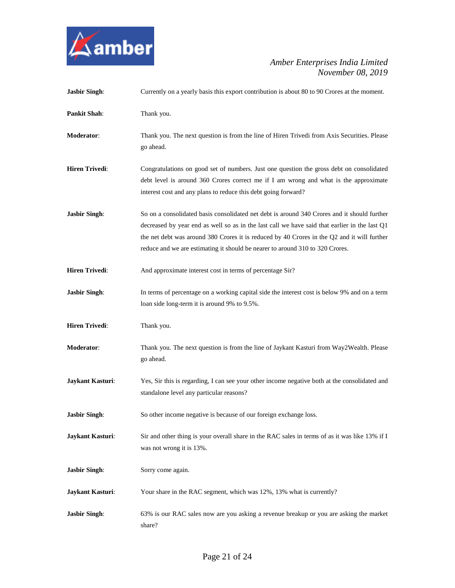

| <b>Jasbir Singh:</b>    | Currently on a yearly basis this export contribution is about 80 to 90 Crores at the moment.                                                                                                                                                                                                                                                                                 |
|-------------------------|------------------------------------------------------------------------------------------------------------------------------------------------------------------------------------------------------------------------------------------------------------------------------------------------------------------------------------------------------------------------------|
| <b>Pankit Shah:</b>     | Thank you.                                                                                                                                                                                                                                                                                                                                                                   |
| Moderator:              | Thank you. The next question is from the line of Hiren Trivedi from Axis Securities. Please<br>go ahead.                                                                                                                                                                                                                                                                     |
| <b>Hiren Trivedi:</b>   | Congratulations on good set of numbers. Just one question the gross debt on consolidated<br>debt level is around 360 Crores correct me if I am wrong and what is the approximate<br>interest cost and any plans to reduce this debt going forward?                                                                                                                           |
| <b>Jasbir Singh:</b>    | So on a consolidated basis consolidated net debt is around 340 Crores and it should further<br>decreased by year end as well so as in the last call we have said that earlier in the last Q1<br>the net debt was around 380 Crores it is reduced by 40 Crores in the Q2 and it will further<br>reduce and we are estimating it should be nearer to around 310 to 320 Crores. |
| <b>Hiren Trivedi:</b>   | And approximate interest cost in terms of percentage Sir?                                                                                                                                                                                                                                                                                                                    |
| <b>Jasbir Singh:</b>    | In terms of percentage on a working capital side the interest cost is below 9% and on a term<br>loan side long-term it is around 9% to 9.5%.                                                                                                                                                                                                                                 |
| <b>Hiren Trivedi:</b>   | Thank you.                                                                                                                                                                                                                                                                                                                                                                   |
| Moderator:              | Thank you. The next question is from the line of Jaykant Kasturi from Way2Wealth. Please<br>go ahead.                                                                                                                                                                                                                                                                        |
| Jaykant Kasturi:        | Yes, Sir this is regarding, I can see your other income negative both at the consolidated and<br>standalone level any particular reasons?                                                                                                                                                                                                                                    |
| <b>Jasbir Singh:</b>    | So other income negative is because of our foreign exchange loss.                                                                                                                                                                                                                                                                                                            |
| Jaykant Kasturi:        | Sir and other thing is your overall share in the RAC sales in terms of as it was like 13% if I<br>was not wrong it is 13%.                                                                                                                                                                                                                                                   |
| <b>Jasbir Singh:</b>    | Sorry come again.                                                                                                                                                                                                                                                                                                                                                            |
| <b>Jaykant Kasturi:</b> | Your share in the RAC segment, which was 12%, 13% what is currently?                                                                                                                                                                                                                                                                                                         |
| <b>Jasbir Singh:</b>    | 63% is our RAC sales now are you asking a revenue breakup or you are asking the market<br>share?                                                                                                                                                                                                                                                                             |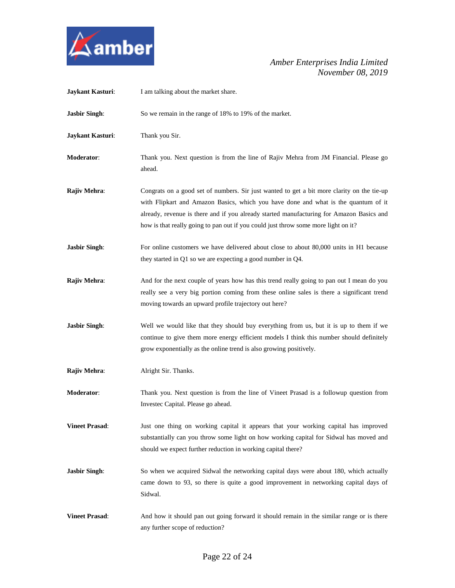

| Jaykant Kasturi:      | I am talking about the market share.                                                                                                                                                                                                                                                                                                                               |
|-----------------------|--------------------------------------------------------------------------------------------------------------------------------------------------------------------------------------------------------------------------------------------------------------------------------------------------------------------------------------------------------------------|
| <b>Jasbir Singh:</b>  | So we remain in the range of 18% to 19% of the market.                                                                                                                                                                                                                                                                                                             |
| Jaykant Kasturi:      | Thank you Sir.                                                                                                                                                                                                                                                                                                                                                     |
| Moderator:            | Thank you. Next question is from the line of Rajiv Mehra from JM Financial. Please go<br>ahead.                                                                                                                                                                                                                                                                    |
| Rajiv Mehra:          | Congrats on a good set of numbers. Sir just wanted to get a bit more clarity on the tie-up<br>with Flipkart and Amazon Basics, which you have done and what is the quantum of it<br>already, revenue is there and if you already started manufacturing for Amazon Basics and<br>how is that really going to pan out if you could just throw some more light on it? |
| <b>Jasbir Singh:</b>  | For online customers we have delivered about close to about 80,000 units in H1 because<br>they started in Q1 so we are expecting a good number in Q4.                                                                                                                                                                                                              |
| Rajiv Mehra:          | And for the next couple of years how has this trend really going to pan out I mean do you<br>really see a very big portion coming from these online sales is there a significant trend<br>moving towards an upward profile trajectory out here?                                                                                                                    |
| <b>Jasbir Singh:</b>  | Well we would like that they should buy everything from us, but it is up to them if we<br>continue to give them more energy efficient models I think this number should definitely<br>grow exponentially as the online trend is also growing positively.                                                                                                           |
| Rajiv Mehra:          | Alright Sir. Thanks.                                                                                                                                                                                                                                                                                                                                               |
| <b>Moderator:</b>     | Thank you. Next question is from the line of Vineet Prasad is a followup question from<br>Investec Capital. Please go ahead.                                                                                                                                                                                                                                       |
| <b>Vineet Prasad:</b> | Just one thing on working capital it appears that your working capital has improved<br>substantially can you throw some light on how working capital for Sidwal has moved and<br>should we expect further reduction in working capital there?                                                                                                                      |
| <b>Jasbir Singh:</b>  | So when we acquired Sidwal the networking capital days were about 180, which actually<br>came down to 93, so there is quite a good improvement in networking capital days of<br>Sidwal.                                                                                                                                                                            |
| <b>Vineet Prasad:</b> | And how it should pan out going forward it should remain in the similar range or is there<br>any further scope of reduction?                                                                                                                                                                                                                                       |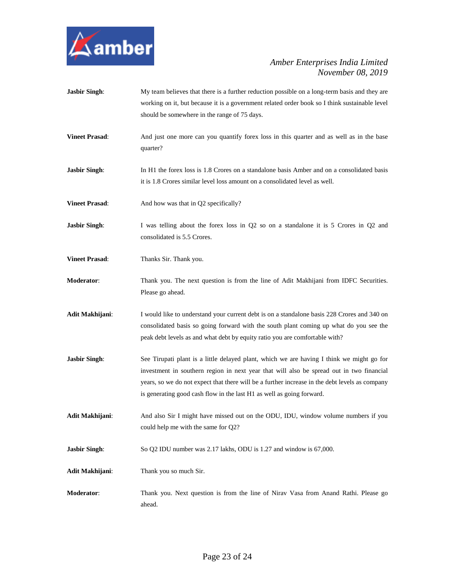

| <b>Jasbir Singh:</b>  | My team believes that there is a further reduction possible on a long-term basis and they are<br>working on it, but because it is a government related order book so I think sustainable level<br>should be somewhere in the range of 75 days.                                                                                                                   |
|-----------------------|------------------------------------------------------------------------------------------------------------------------------------------------------------------------------------------------------------------------------------------------------------------------------------------------------------------------------------------------------------------|
| <b>Vineet Prasad:</b> | And just one more can you quantify forex loss in this quarter and as well as in the base<br>quarter?                                                                                                                                                                                                                                                             |
| <b>Jasbir Singh:</b>  | In H1 the forex loss is 1.8 Crores on a standalone basis Amber and on a consolidated basis<br>it is 1.8 Crores similar level loss amount on a consolidated level as well.                                                                                                                                                                                        |
| <b>Vineet Prasad:</b> | And how was that in Q2 specifically?                                                                                                                                                                                                                                                                                                                             |
| <b>Jasbir Singh:</b>  | I was telling about the forex loss in Q2 so on a standalone it is 5 Crores in Q2 and<br>consolidated is 5.5 Crores.                                                                                                                                                                                                                                              |
| <b>Vineet Prasad:</b> | Thanks Sir. Thank you.                                                                                                                                                                                                                                                                                                                                           |
| Moderator:            | Thank you. The next question is from the line of Adit Makhijani from IDFC Securities.<br>Please go ahead.                                                                                                                                                                                                                                                        |
| Adit Makhijani:       | I would like to understand your current debt is on a standalone basis 228 Crores and 340 on<br>consolidated basis so going forward with the south plant coming up what do you see the<br>peak debt levels as and what debt by equity ratio you are comfortable with?                                                                                             |
| <b>Jasbir Singh:</b>  | See Tirupati plant is a little delayed plant, which we are having I think we might go for<br>investment in southern region in next year that will also be spread out in two financial<br>years, so we do not expect that there will be a further increase in the debt levels as company<br>is generating good cash flow in the last H1 as well as going forward. |
| Adit Makhijani:       | And also Sir I might have missed out on the ODU, IDU, window volume numbers if you<br>could help me with the same for Q2?                                                                                                                                                                                                                                        |
| <b>Jasbir Singh:</b>  | So Q2 IDU number was 2.17 lakhs, ODU is 1.27 and window is 67,000.                                                                                                                                                                                                                                                                                               |
| Adit Makhijani:       | Thank you so much Sir.                                                                                                                                                                                                                                                                                                                                           |
| Moderator:            | Thank you. Next question is from the line of Nirav Vasa from Anand Rathi. Please go<br>ahead.                                                                                                                                                                                                                                                                    |